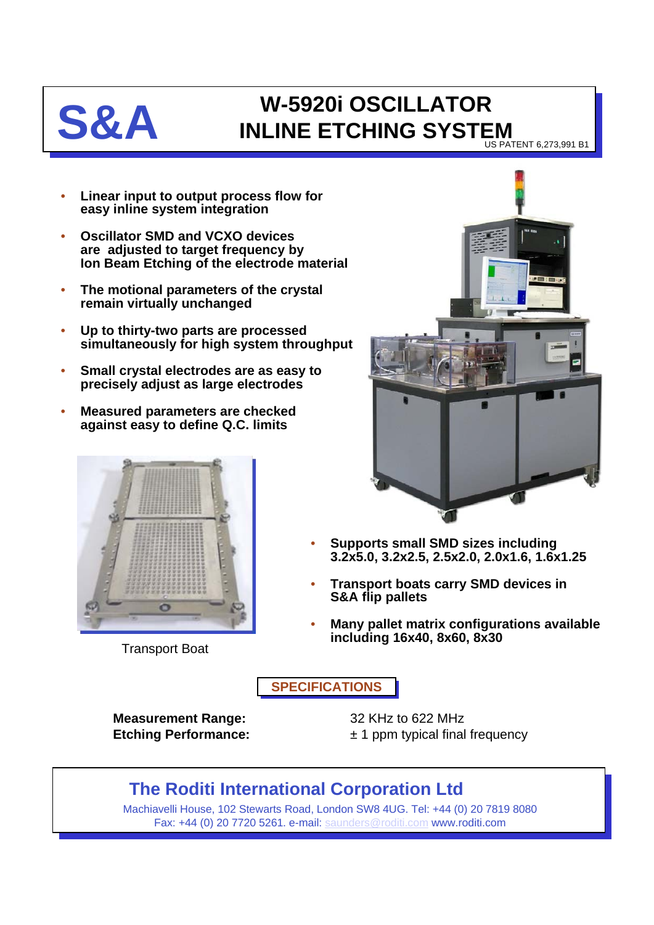

## **S&A INLINE ETCHING SYSTEM** US PATENT 6,273,991 B1

• **Linear input to output process flow for easy inline system integration**

- **Oscillator SMD and VCXO devices are adjusted to target frequency by Ion Beam Etching of the electrode material**
- **The motional parameters of the crystal remain virtually unchanged**
- **Up to thirty-two parts are processed simultaneously for high system throughput**
- **Small crystal electrodes are as easy to precisely adjust as large electrodes**
- **Measured parameters are checked against easy to define Q.C. limits**



Transport Boat



- **Supports small SMD sizes including 3.2x5.0, 3.2x2.5, 2.5x2.0, 2.0x1.6, 1.6x1.25**
- **Transport boats carry SMD devices in S&A flip pallets**
- **Many pallet matrix configurations available including 16x40, 8x60, 8x30**

**SPECIFICATIONS**

**Measurement Range:** 32 KHz to 622 MHz

**Etching Performance:**  $\pm 1$  ppm typical final frequency

## **The Roditi International Corporation Ltd**

Machiavelli House, 102 Stewarts Road, London SW8 4UG. Tel: +44 (0) 20 7819 8080 Fax: +44 (0) 20 7720 5261. e-mail: [saunders@roditi.com](mailto:saunders@roditi.com) www.roditi.com